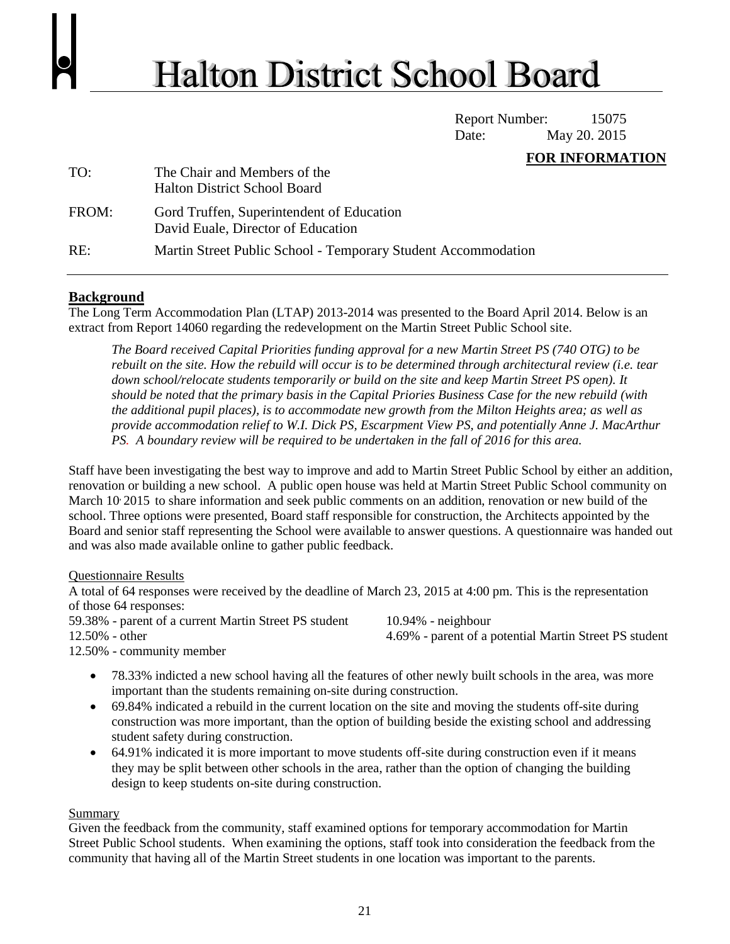## **Halton District School Board**

Report Number: 15075 Date: May 20. 2015

## **FOR INFORMATION**

| TO:   | The Chair and Members of the<br><b>Halton District School Board</b>             |
|-------|---------------------------------------------------------------------------------|
| FROM: | Gord Truffen, Superintendent of Education<br>David Euale, Director of Education |
| RE:   | Martin Street Public School - Temporary Student Accommodation                   |

## **Background**

The Long Term Accommodation Plan (LTAP) 2013-2014 was presented to the Board April 2014. Below is an extract from Report 14060 regarding the redevelopment on the Martin Street Public School site.

*The Board received Capital Priorities funding approval for a new Martin Street PS (740 OTG) to be rebuilt on the site. How the rebuild will occur is to be determined through architectural review (i.e. tear down school/relocate students temporarily or build on the site and keep Martin Street PS open). It should be noted that the primary basis in the Capital Priories Business Case for the new rebuild (with the additional pupil places), is to accommodate new growth from the Milton Heights area; as well as provide accommodation relief to W.I. Dick PS, Escarpment View PS, and potentially Anne J. MacArthur PS. A boundary review will be required to be undertaken in the fall of 2016 for this area.*

Staff have been investigating the best way to improve and add to Martin Street Public School by either an addition, renovation or building a new school. A public open house was held at Martin Street Public School community on March 10, 2015 to share information and seek public comments on an addition, renovation or new build of the school. Three options were presented, Board staff responsible for construction, the Architects appointed by the Board and senior staff representing the School were available to answer questions. A questionnaire was handed out and was also made available online to gather public feedback.

Questionnaire Results

A total of 64 responses were received by the deadline of March 23, 2015 at 4:00 pm. This is the representation of those 64 responses:

59.38% - parent of a current Martin Street PS student

10.94% - neighbour

12.50% - other

4.69% - parent of a potential Martin Street PS student

12.50% - community member

- 78.33% indicted a new school having all the features of other newly built schools in the area, was more important than the students remaining on-site during construction.
- 69.84% indicated a rebuild in the current location on the site and moving the students off-site during construction was more important, than the option of building beside the existing school and addressing student safety during construction.
- 64.91% indicated it is more important to move students off-site during construction even if it means they may be split between other schools in the area, rather than the option of changing the building design to keep students on-site during construction.

## **Summary**

Given the feedback from the community, staff examined options for temporary accommodation for Martin Street Public School students. When examining the options, staff took into consideration the feedback from the community that having all of the Martin Street students in one location was important to the parents.